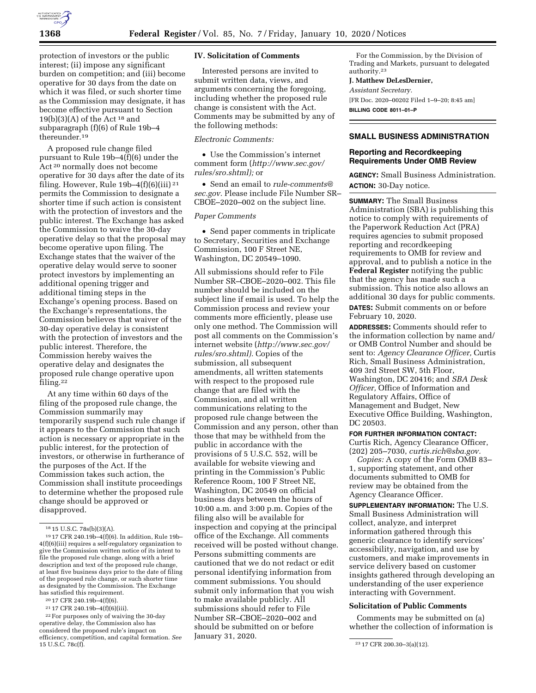

protection of investors or the public interest; (ii) impose any significant burden on competition; and (iii) become operative for 30 days from the date on which it was filed, or such shorter time as the Commission may designate, it has become effective pursuant to Section 19(b)(3)(A) of the Act  $18$  and subparagraph (f)(6) of Rule 19b–4 thereunder.19

A proposed rule change filed pursuant to Rule 19b–4(f)(6) under the Act 20 normally does not become operative for 30 days after the date of its filing. However, Rule  $19b-4(f)(6)(iii)$ <sup>21</sup> permits the Commission to designate a shorter time if such action is consistent with the protection of investors and the public interest. The Exchange has asked the Commission to waive the 30-day operative delay so that the proposal may become operative upon filing. The Exchange states that the waiver of the operative delay would serve to sooner protect investors by implementing an additional opening trigger and additional timing steps in the Exchange's opening process. Based on the Exchange's representations, the Commission believes that waiver of the 30-day operative delay is consistent with the protection of investors and the public interest. Therefore, the Commission hereby waives the operative delay and designates the proposed rule change operative upon filing.22

At any time within 60 days of the filing of the proposed rule change, the Commission summarily may temporarily suspend such rule change if it appears to the Commission that such action is necessary or appropriate in the public interest, for the protection of investors, or otherwise in furtherance of the purposes of the Act. If the Commission takes such action, the Commission shall institute proceedings to determine whether the proposed rule change should be approved or disapproved.

## **IV. Solicitation of Comments**

Interested persons are invited to submit written data, views, and arguments concerning the foregoing, including whether the proposed rule change is consistent with the Act. Comments may be submitted by any of the following methods:

## *Electronic Comments:*

• Use the Commission's internet comment form (*[http://www.sec.gov/](http://www.sec.gov/rules/sro.shtml)  [rules/sro.shtml\);](http://www.sec.gov/rules/sro.shtml)* or

• Send an email to *[rule-comments@](mailto:rule-comments@sec.gov) [sec.gov.](mailto:rule-comments@sec.gov)* Please include File Number SR– CBOE–2020–002 on the subject line.

## *Paper Comments*

• Send paper comments in triplicate to Secretary, Securities and Exchange Commission, 100 F Street NE, Washington, DC 20549–1090.

All submissions should refer to File Number SR–CBOE–2020–002. This file number should be included on the subject line if email is used. To help the Commission process and review your comments more efficiently, please use only one method. The Commission will post all comments on the Commission's internet website (*[http://www.sec.gov/](http://www.sec.gov/rules/sro.shtml)  [rules/sro.shtml\).](http://www.sec.gov/rules/sro.shtml)* Copies of the submission, all subsequent amendments, all written statements with respect to the proposed rule change that are filed with the Commission, and all written communications relating to the proposed rule change between the Commission and any person, other than those that may be withheld from the public in accordance with the provisions of 5 U.S.C. 552, will be available for website viewing and printing in the Commission's Public Reference Room, 100 F Street NE, Washington, DC 20549 on official business days between the hours of 10:00 a.m. and 3:00 p.m. Copies of the filing also will be available for inspection and copying at the principal office of the Exchange. All comments received will be posted without change. Persons submitting comments are cautioned that we do not redact or edit personal identifying information from comment submissions. You should submit only information that you wish to make available publicly. All submissions should refer to File Number SR–CBOE–2020–002 and should be submitted on or before January 31, 2020.

For the Commission, by the Division of Trading and Markets, pursuant to delegated authority.23

## **J. Matthew DeLesDernier,**

*Assistant Secretary.* 

[FR Doc. 2020–00202 Filed 1–9–20; 8:45 am] **BILLING CODE 8011–01–P** 

## **SMALL BUSINESS ADMINISTRATION**

## **Reporting and Recordkeeping Requirements Under OMB Review**

**AGENCY:** Small Business Administration. **ACTION:** 30-Day notice.

**SUMMARY:** The Small Business Administration (SBA) is publishing this notice to comply with requirements of the Paperwork Reduction Act (PRA) requires agencies to submit proposed reporting and recordkeeping requirements to OMB for review and approval, and to publish a notice in the **Federal Register** notifying the public that the agency has made such a submission. This notice also allows an additional 30 days for public comments. **DATES:** Submit comments on or before

February 10, 2020.

**ADDRESSES:** Comments should refer to the information collection by name and/ or OMB Control Number and should be sent to: *Agency Clearance Officer,* Curtis Rich, Small Business Administration, 409 3rd Street SW, 5th Floor, Washington, DC 20416; and *SBA Desk Officer,* Office of Information and Regulatory Affairs, Office of Management and Budget, New Executive Office Building, Washington, DC 20503.

#### **FOR FURTHER INFORMATION CONTACT:**

Curtis Rich, Agency Clearance Officer, (202) 205–7030, *[curtis.rich@sba.gov.](mailto:curtis.rich@sba.gov)* 

*Copies:* A copy of the Form OMB 83– 1, supporting statement, and other documents submitted to OMB for review may be obtained from the Agency Clearance Officer.

**SUPPLEMENTARY INFORMATION:** The U.S. Small Business Administration will collect, analyze, and interpret information gathered through this generic clearance to identify services' accessibility, navigation, and use by customers, and make improvements in service delivery based on customer insights gathered through developing an understanding of the user experience interacting with Government.

# **Solicitation of Public Comments**

Comments may be submitted on (a) whether the collection of information is

<sup>18</sup> 15 U.S.C. 78s(b)(3)(A).

<sup>19</sup> 17 CFR 240.19b–4(f)(6). In addition, Rule 19b– 4(f)(6)(iii) requires a self-regulatory organization to give the Commission written notice of its intent to file the proposed rule change, along with a brief description and text of the proposed rule change, at least five business days prior to the date of filing of the proposed rule change, or such shorter time as designated by the Commission. The Exchange has satisfied this requirement.

<sup>20</sup> 17 CFR 240.19b–4(f)(6).

<sup>21</sup> 17 CFR 240.19b–4(f)(6)(iii).

<sup>22</sup>For purposes only of waiving the 30-day operative delay, the Commission also has considered the proposed rule's impact on efficiency, competition, and capital formation. *See* 

<sup>23 17</sup> CFR 200.30-3(a)(12).